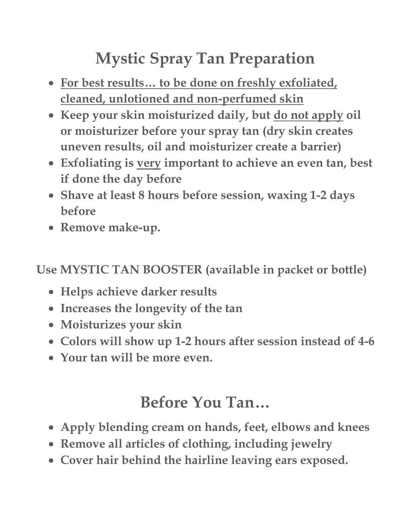# **Mystic Spray Tan Preparation**

- **For best results… to be done on freshly exfoliated, cleaned, unlotioned and non-perfumed skin**
- **Keep your skin moisturized daily, but do not apply oil or moisturizer before your spray tan (dry skin creates uneven results, oil and moisturizer create a barrier)**
- **Exfoliating is very important to achieve an even tan, best if done the day before**
- **Shave at least 8 hours before session, waxing 1-2 days before**
- **Remove make-up.**

**Use MYSTIC TAN BOOSTER (available in packet or bottle)**

- **Helps achieve darker results**
- **Increases the longevity of the tan**
- **Moisturizes your skin**
- **Colors will show up 1-2 hours after session instead of 4-6**
- **Your tan will be more even.**

### **Before You Tan…**

- **Apply blending cream on hands, feet, elbows and knees**
- **Remove all articles of clothing, including jewelry**
- **Cover hair behind the hairline leaving ears exposed.**